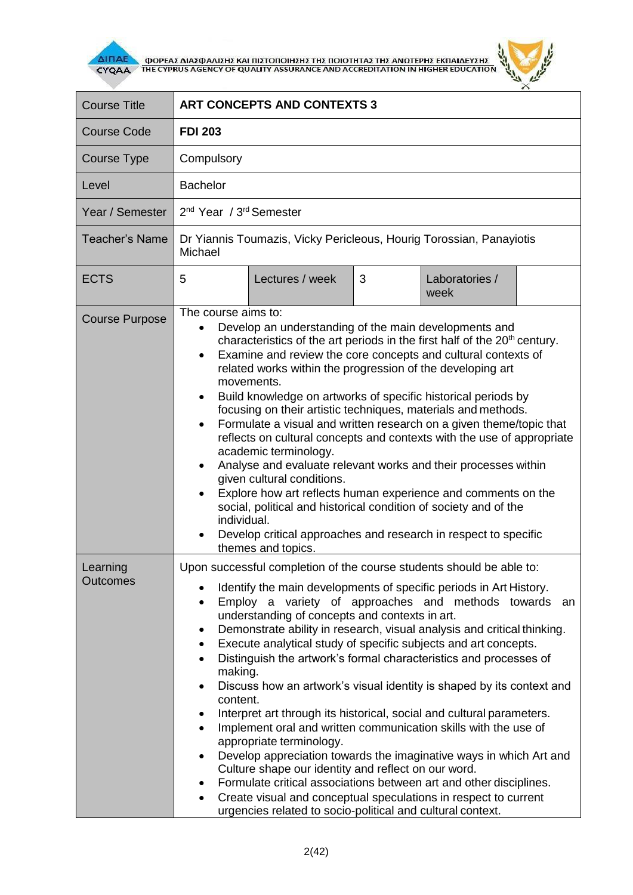

**AITIAE OPPEAS ANAZOANIZHE KAI TIIZTOTIOIHEHE THE TOIOTHTAE THE ANOTEPHE EKTIAIAEYEHE** 



| <b>Course Title</b>         | <b>ART CONCEPTS AND CONTEXTS 3</b>                                                                                                                                                                                                                                                                                                                                                                                                                                                                                                                                                                                                                                                                                                                                                                                                                                                                                                                                                                                                                                                                                                                                                                |  |  |
|-----------------------------|---------------------------------------------------------------------------------------------------------------------------------------------------------------------------------------------------------------------------------------------------------------------------------------------------------------------------------------------------------------------------------------------------------------------------------------------------------------------------------------------------------------------------------------------------------------------------------------------------------------------------------------------------------------------------------------------------------------------------------------------------------------------------------------------------------------------------------------------------------------------------------------------------------------------------------------------------------------------------------------------------------------------------------------------------------------------------------------------------------------------------------------------------------------------------------------------------|--|--|
| <b>Course Code</b>          | <b>FDI 203</b>                                                                                                                                                                                                                                                                                                                                                                                                                                                                                                                                                                                                                                                                                                                                                                                                                                                                                                                                                                                                                                                                                                                                                                                    |  |  |
| Course Type                 | Compulsory                                                                                                                                                                                                                                                                                                                                                                                                                                                                                                                                                                                                                                                                                                                                                                                                                                                                                                                                                                                                                                                                                                                                                                                        |  |  |
| Level                       | <b>Bachelor</b>                                                                                                                                                                                                                                                                                                                                                                                                                                                                                                                                                                                                                                                                                                                                                                                                                                                                                                                                                                                                                                                                                                                                                                                   |  |  |
| Year / Semester             | 2 <sup>nd</sup> Year / 3 <sup>rd</sup> Semester                                                                                                                                                                                                                                                                                                                                                                                                                                                                                                                                                                                                                                                                                                                                                                                                                                                                                                                                                                                                                                                                                                                                                   |  |  |
| <b>Teacher's Name</b>       | Dr Yiannis Toumazis, Vicky Pericleous, Hourig Torossian, Panayiotis<br>Michael                                                                                                                                                                                                                                                                                                                                                                                                                                                                                                                                                                                                                                                                                                                                                                                                                                                                                                                                                                                                                                                                                                                    |  |  |
| <b>ECTS</b>                 | Lectures / week<br>3<br>Laboratories /<br>5<br>week                                                                                                                                                                                                                                                                                                                                                                                                                                                                                                                                                                                                                                                                                                                                                                                                                                                                                                                                                                                                                                                                                                                                               |  |  |
| <b>Course Purpose</b>       | The course aims to:<br>Develop an understanding of the main developments and<br>characteristics of the art periods in the first half of the 20 <sup>th</sup> century.<br>Examine and review the core concepts and cultural contexts of<br>$\bullet$<br>related works within the progression of the developing art<br>movements.<br>Build knowledge on artworks of specific historical periods by<br>focusing on their artistic techniques, materials and methods.<br>Formulate a visual and written research on a given theme/topic that<br>$\bullet$<br>reflects on cultural concepts and contexts with the use of appropriate<br>academic terminology.<br>Analyse and evaluate relevant works and their processes within<br>given cultural conditions.<br>Explore how art reflects human experience and comments on the<br>social, political and historical condition of society and of the<br>individual.<br>Develop critical approaches and research in respect to specific<br>themes and topics.                                                                                                                                                                                             |  |  |
| Learning<br><b>Outcomes</b> | Upon successful completion of the course students should be able to:<br>Identify the main developments of specific periods in Art History.<br>Employ a variety of approaches and methods towards<br>$\bullet$<br>an<br>understanding of concepts and contexts in art.<br>Demonstrate ability in research, visual analysis and critical thinking.<br>$\bullet$<br>Execute analytical study of specific subjects and art concepts.<br>$\bullet$<br>Distinguish the artwork's formal characteristics and processes of<br>$\bullet$<br>making.<br>Discuss how an artwork's visual identity is shaped by its context and<br>$\bullet$<br>content.<br>Interpret art through its historical, social and cultural parameters.<br>٠<br>Implement oral and written communication skills with the use of<br>$\bullet$<br>appropriate terminology.<br>Develop appreciation towards the imaginative ways in which Art and<br>٠<br>Culture shape our identity and reflect on our word.<br>Formulate critical associations between art and other disciplines.<br>٠<br>Create visual and conceptual speculations in respect to current<br>$\bullet$<br>urgencies related to socio-political and cultural context. |  |  |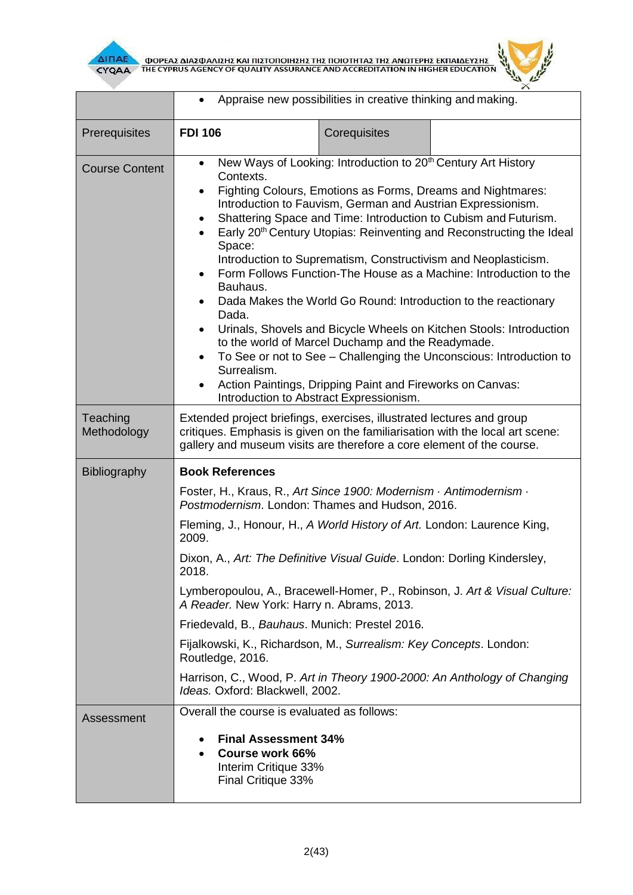



|                         | Appraise new possibilities in creative thinking and making.                                                                                                                                                                                                                                                                                                                                                                                                                                                                                                                                                                                                                                                                                                                                                                                                                                                                                                                                                    |              |                                                                            |  |
|-------------------------|----------------------------------------------------------------------------------------------------------------------------------------------------------------------------------------------------------------------------------------------------------------------------------------------------------------------------------------------------------------------------------------------------------------------------------------------------------------------------------------------------------------------------------------------------------------------------------------------------------------------------------------------------------------------------------------------------------------------------------------------------------------------------------------------------------------------------------------------------------------------------------------------------------------------------------------------------------------------------------------------------------------|--------------|----------------------------------------------------------------------------|--|
| Prerequisites           | <b>FDI 106</b>                                                                                                                                                                                                                                                                                                                                                                                                                                                                                                                                                                                                                                                                                                                                                                                                                                                                                                                                                                                                 | Corequisites |                                                                            |  |
| <b>Course Content</b>   | New Ways of Looking: Introduction to 20 <sup>th</sup> Century Art History<br>$\bullet$<br>Contexts.<br>Fighting Colours, Emotions as Forms, Dreams and Nightmares:<br>$\bullet$<br>Introduction to Fauvism, German and Austrian Expressionism.<br>Shattering Space and Time: Introduction to Cubism and Futurism.<br>Early 20 <sup>th</sup> Century Utopias: Reinventing and Reconstructing the Ideal<br>Space:<br>Introduction to Suprematism, Constructivism and Neoplasticism.<br>Form Follows Function-The House as a Machine: Introduction to the<br>$\bullet$<br>Bauhaus.<br>Dada Makes the World Go Round: Introduction to the reactionary<br>Dada.<br>Urinals, Shovels and Bicycle Wheels on Kitchen Stools: Introduction<br>$\bullet$<br>to the world of Marcel Duchamp and the Readymade.<br>To See or not to See - Challenging the Unconscious: Introduction to<br>$\bullet$<br>Surrealism.<br>Action Paintings, Dripping Paint and Fireworks on Canvas:<br>Introduction to Abstract Expressionism. |              |                                                                            |  |
| Teaching<br>Methodology | Extended project briefings, exercises, illustrated lectures and group<br>critiques. Emphasis is given on the familiarisation with the local art scene:<br>gallery and museum visits are therefore a core element of the course.                                                                                                                                                                                                                                                                                                                                                                                                                                                                                                                                                                                                                                                                                                                                                                                |              |                                                                            |  |
| Bibliography            | <b>Book References</b>                                                                                                                                                                                                                                                                                                                                                                                                                                                                                                                                                                                                                                                                                                                                                                                                                                                                                                                                                                                         |              |                                                                            |  |
|                         | Foster, H., Kraus, R., Art Since 1900: Modernism · Antimodernism ·<br>Postmodernism. London: Thames and Hudson, 2016.<br>Fleming, J., Honour, H., A World History of Art. London: Laurence King,<br>2009.                                                                                                                                                                                                                                                                                                                                                                                                                                                                                                                                                                                                                                                                                                                                                                                                      |              |                                                                            |  |
|                         |                                                                                                                                                                                                                                                                                                                                                                                                                                                                                                                                                                                                                                                                                                                                                                                                                                                                                                                                                                                                                |              |                                                                            |  |
|                         | Dixon, A., Art: The Definitive Visual Guide. London: Dorling Kindersley,<br>2018.                                                                                                                                                                                                                                                                                                                                                                                                                                                                                                                                                                                                                                                                                                                                                                                                                                                                                                                              |              |                                                                            |  |
|                         | A Reader. New York: Harry n. Abrams, 2013.                                                                                                                                                                                                                                                                                                                                                                                                                                                                                                                                                                                                                                                                                                                                                                                                                                                                                                                                                                     |              | Lymberopoulou, A., Bracewell-Homer, P., Robinson, J. Art & Visual Culture: |  |
|                         |                                                                                                                                                                                                                                                                                                                                                                                                                                                                                                                                                                                                                                                                                                                                                                                                                                                                                                                                                                                                                |              |                                                                            |  |
|                         | Fijalkowski, K., Richardson, M., Surrealism: Key Concepts. London:<br>Routledge, 2016.                                                                                                                                                                                                                                                                                                                                                                                                                                                                                                                                                                                                                                                                                                                                                                                                                                                                                                                         |              |                                                                            |  |
|                         | Ideas. Oxford: Blackwell, 2002.                                                                                                                                                                                                                                                                                                                                                                                                                                                                                                                                                                                                                                                                                                                                                                                                                                                                                                                                                                                |              | Harrison, C., Wood, P. Art in Theory 1900-2000: An Anthology of Changing   |  |
| Assessment              | Overall the course is evaluated as follows:                                                                                                                                                                                                                                                                                                                                                                                                                                                                                                                                                                                                                                                                                                                                                                                                                                                                                                                                                                    |              |                                                                            |  |
|                         | <b>Final Assessment 34%</b><br>٠<br>Course work 66%<br>$\bullet$<br>Interim Critique 33%<br>Final Critique 33%                                                                                                                                                                                                                                                                                                                                                                                                                                                                                                                                                                                                                                                                                                                                                                                                                                                                                                 |              |                                                                            |  |